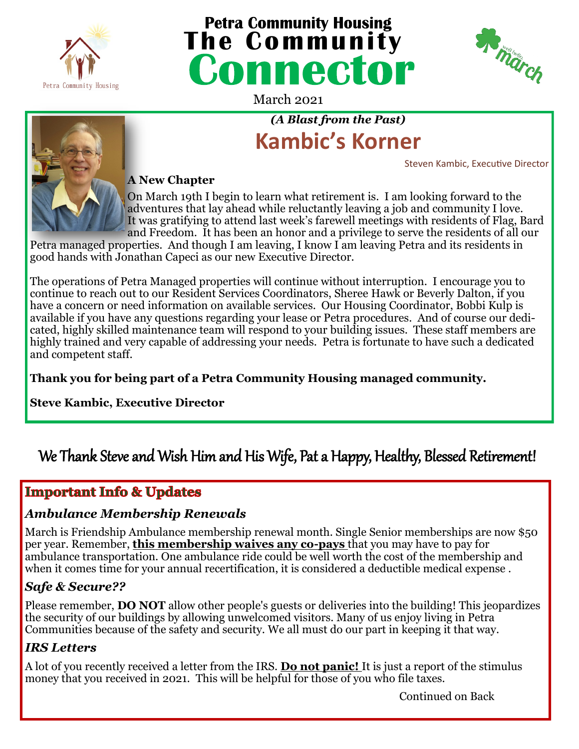

# **The Community Housing<br>
<b>The Community**<br> **COMMECTOP**



March 2021

# *(A Blast from the Past)* **Kambic's Korner**

Steven Kambic, Executive Director



#### **A New Chapter**

On March 19th I begin to learn what retirement is. I am looking forward to the adventures that lay ahead while reluctantly leaving a job and community I love. It was gratifying to attend last week's farewell meetings with residents of Flag, Bard and Freedom. It has been an honor and a privilege to serve the residents of all our

Petra managed properties. And though I am leaving, I know I am leaving Petra and its residents in good hands with Jonathan Capeci as our new Executive Director.

The operations of Petra Managed properties will continue without interruption. I encourage you to continue to reach out to our Resident Services Coordinators, Sheree Hawk or Beverly Dalton, if you have a concern or need information on available services. Our Housing Coordinator, Bobbi Kulp is available if you have any questions regarding your lease or Petra procedures. And of course our dedicated, highly skilled maintenance team will respond to your building issues. These staff members are highly trained and very capable of addressing your needs. Petra is fortunate to have such a dedicated and competent staff.

**Thank you for being part of a Petra Community Housing managed community.** 

**Steve Kambic, Executive Director**

# We Thank Steve and Wish Him and His Wife, Pat a Happy, Healthy, Blessed Retirement!

## **Important Info & Updates**

#### *Ambulance Membership Renewals*

March is Friendship Ambulance membership renewal month. Single Senior memberships are now \$50 per year. Remember, **this membership waives any co-pays** that you may have to pay for ambulance transportation. One ambulance ride could be well worth the cost of the membership and when it comes time for your annual recertification, it is considered a deductible medical expense.

### *Safe & Secure??*

Please remember, **DO NOT** allow other people's guests or deliveries into the building! This jeopardizes the security of our buildings by allowing unwelcomed visitors. Many of us enjoy living in Petra Communities because of the safety and security. We all must do our part in keeping it that way.

### *IRS Letters*

A lot of you recently received a letter from the IRS. **Do not panic!** It is just a report of the stimulus money that you received in 2021. This will be helpful for those of you who file taxes.

Continued on Back